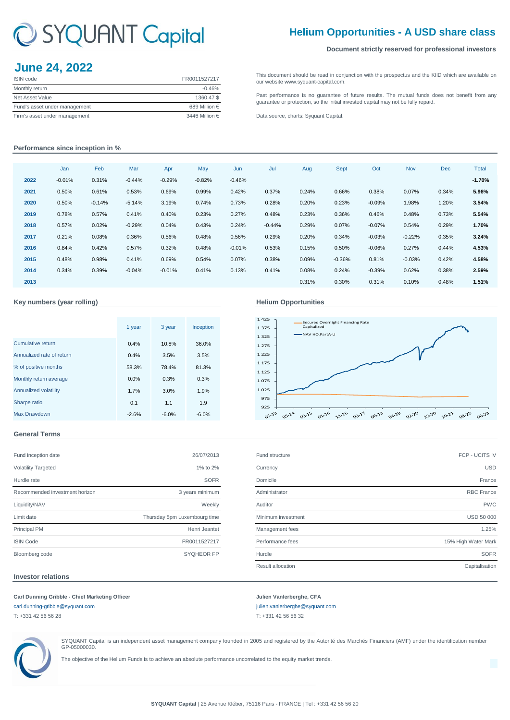# C SYQUANT Capital

# **Helium Opportunities - A USD share class**

### **Document strictly reserved for professional investors**

# **June 24, 2022**

| <b>ISIN</b> code              | FR0011527217   |
|-------------------------------|----------------|
| Monthly return                | $-0.46%$       |
| Net Asset Value               | 1360.47\$      |
| Fund's asset under management | 689 Million €  |
| Firm's asset under management | 3446 Million € |

[This](http://www.syquant-capital.fr/publications-syquant-capital.php) [document](http://www.syquant-capital.fr/publications-syquant-capital.php) [should](http://www.syquant-capital.fr/publications-syquant-capital.php) be read in [conjunction](http://www.syquant-capital.fr/publications-syquant-capital.php) with the prospectus and the KIID which are available on [our website ww](http://www.syquant-capital.fr/publications-syquant-capital.php)w.syquant-capital.com.

[Past](http://www.syquant-capital.fr/publications-syquant-capital.php) [performance](http://www.syquant-capital.fr/publications-syquant-capital.php) is no [guarantee](http://www.syquant-capital.fr/publications-syquant-capital.php) of future results. The mutual funds does not benefit from any [guarantee or p](http://www.syquant-capital.fr/publications-syquant-capital.php)rotection, so the initial invested capital may not be fully repaid.

[Data source, c](http://www.syquant-capital.fr/publications-syquant-capital.php)harts: Syquant Capital.

## **Performance since inception in %**

|      | Jan      | Feb      | Mar      | Apr      | May      | Jun      | Jul      | Aug   | <b>Sept</b> | Oct      | <b>Nov</b> | <b>Dec</b> | <b>Total</b> |
|------|----------|----------|----------|----------|----------|----------|----------|-------|-------------|----------|------------|------------|--------------|
| 2022 | $-0.01%$ | 0.31%    | $-0.44%$ | $-0.29%$ | $-0.82%$ | $-0.46%$ |          |       |             |          |            |            | $-1.70%$     |
| 2021 | 0.50%    | 0.61%    | 0.53%    | 0.69%    | 0.99%    | 0.42%    | 0.37%    | 0.24% | 0.66%       | 0.38%    | 0.07%      | 0.34%      | 5.96%        |
| 2020 | 0.50%    | $-0.14%$ | $-5.14%$ | 3.19%    | 0.74%    | 0.73%    | 0.28%    | 0.20% | 0.23%       | $-0.09%$ | 1.98%      | 1.20%      | 3.54%        |
| 2019 | 0.78%    | 0.57%    | 0.41%    | 0.40%    | 0.23%    | 0.27%    | 0.48%    | 0.23% | 0.36%       | 0.46%    | 0.48%      | 0.73%      | 5.54%        |
| 2018 | 0.57%    | 0.02%    | $-0.29%$ | 0.04%    | 0.43%    | 0.24%    | $-0.44%$ | 0.29% | 0.07%       | $-0.07%$ | 0.54%      | 0.29%      | 1.70%        |
| 2017 | 0.21%    | 0.08%    | 0.36%    | 0.56%    | 0.48%    | 0.56%    | 0.29%    | 0.20% | 0.34%       | $-0.03%$ | $-0.22%$   | 0.35%      | 3.24%        |
| 2016 | 0.84%    | 0.42%    | 0.57%    | 0.32%    | 0.48%    | $-0.01%$ | 0.53%    | 0.15% | 0.50%       | $-0.06%$ | 0.27%      | 0.44%      | 4.53%        |
| 2015 | 0.48%    | 0.98%    | 0.41%    | 0.69%    | 0.54%    | 0.07%    | 0.38%    | 0.09% | $-0.36%$    | 0.81%    | $-0.03%$   | 0.42%      | 4.58%        |
| 2014 | 0.34%    | 0.39%    | $-0.04%$ | $-0.01%$ | 0.41%    | 0.13%    | 0.41%    | 0.08% | 0.24%       | $-0.39%$ | 0.62%      | 0.38%      | 2.59%        |
| 2013 |          |          |          |          |          |          |          | 0.31% | 0.30%       | 0.31%    | 0.10%      | 0.48%      | 1.51%        |
|      |          |          |          |          |          |          |          |       |             |          |            |            |              |

#### **Key numbers (year rolling) Helium Opportunities**

|                           | 1 year  | 3 year  | Inception |
|---------------------------|---------|---------|-----------|
| Cumulative return         | 0.4%    | 10.8%   | 36.0%     |
| Annualized rate of return | 0.4%    | 3.5%    | 3.5%      |
| % of positive months      | 58.3%   | 78.4%   | 81.3%     |
| Monthly return average    | 0.0%    | 0.3%    | 0.3%      |
| Annualized volatility     | 1.7%    | 3.0%    | 1.9%      |
| Sharpe ratio              | 0.1     | 1.1     | 1.9       |
| <b>Max Drawdown</b>       | $-2.6%$ | $-6.0%$ | $-6.0%$   |

## **General Terms**

| Fund inception date            | 26/07/2013                   |
|--------------------------------|------------------------------|
| <b>Volatility Targeted</b>     | 1% to 2%                     |
| Hurdle rate                    | <b>SOFR</b>                  |
| Recommended investment horizon | 3 years minimum              |
| Liquidity/NAV                  | Weekly                       |
| Limit date                     | Thursday 5pm Luxembourg time |
| <b>Principal PM</b>            | Henri Jeantet                |
| <b>ISIN Code</b>               | FR0011527217                 |
| Bloomberg code                 | <b>SYQHEOR FP</b>            |

## 1 125 1 175 1 225 1 275

Secured Overnight Financing Rate Capitalized

.<br>NAV HO.PartA-U



| Fund inception date            | 26/07/2013                   | Fund structure           | FCP - UCITS IV      |
|--------------------------------|------------------------------|--------------------------|---------------------|
| <b>Volatility Targeted</b>     | 1% to 2%                     | Currency                 | <b>USD</b>          |
| Hurdle rate                    | <b>SOFR</b>                  | Domicile                 | France              |
| Recommended investment horizon | 3 years minimum              | Administrator            | <b>RBC France</b>   |
| Liquidity/NAV                  | Weekly                       | Auditor                  | <b>PWC</b>          |
| Limit date                     | Thursday 5pm Luxembourg time | Minimum investment       | <b>USD 50 000</b>   |
| <b>Principal PM</b>            | Henri Jeantet                | Management fees          | 1.25%               |
| <b>ISIN Code</b>               | FR0011527217                 | Performance fees         | 15% High Water Mark |
| Bloomberg code                 | <b>SYQHEOR FP</b>            | Hurdle                   | <b>SOFR</b>         |
|                                |                              | <b>Result allocation</b> | Capitalisation      |
|                                |                              |                          |                     |

### **Investor relations**

## **Carl Dunning Gribble - Chief Marketing Officer Julien Vanlerberghe, CFA**

[carl.dunning-gribble@syquant.com](mailto:carl.dunning-gribble@syquant.com) [julien.vanlerberghe@syquant.com](mailto:julien.vanlerberghe@syquant.com)  T: +331 42 56 56 28 T: +331 42 56 56 32



SYQUANT Capital is an independent asset management company founded in 2005 and registered by the Autorité des Marchés Financiers (AMF) under the identification number GP-05000030.

The objective of the Helium Funds is to achieve an absolute performance uncorrelated to the equity market trends.